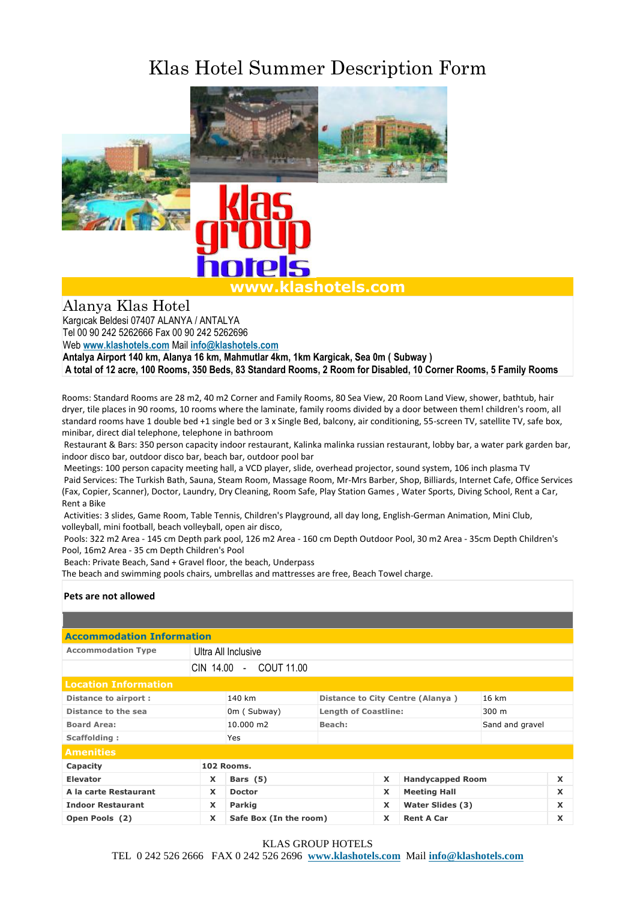## Klas Hotel Summer Description Form



Alanya Klas Hotel

Kargıcak Beldesi 07407 ALANYA / ANTALYA Tel 00 90 242 5262666 Fax 00 90 242 5262696

Web **[www.klashotels.com](http://www.klashotels.com/)** Mail **[info@klashotels.com](mailto:info@klashotels.com)**

**Antalya Airport 140 km, Alanya 16 km, Mahmutlar 4km, 1km Kargicak, Sea 0m ( Subway )**

**A total of 12 acre, 100 Rooms, 350 Beds, 83 Standard Rooms, 2 Room for Disabled, 10 Corner Rooms, 5 Family Rooms**

Rooms: Standard Rooms are 28 m2, 40 m2 Corner and Family Rooms, 80 Sea View, 20 Room Land View, shower, bathtub, hair dryer, tile places in 90 rooms, 10 rooms where the laminate, family rooms divided by a door between them! children's room, all standard rooms have 1 double bed +1 single bed or 3 x Single Bed, balcony, air conditioning, 55-screen TV, satellite TV, safe box, minibar, direct dial telephone, telephone in bathroom

Restaurant & Bars: 350 person capacity indoor restaurant, Kalinka malinka russian restaurant, lobby bar, a water park garden bar, indoor disco bar, outdoor disco bar, beach bar, outdoor pool bar

Meetings: 100 person capacity meeting hall, a VCD player, slide, overhead projector, sound system, 106 inch plasma TV Paid Services: The Turkish Bath, Sauna, Steam Room, Massage Room, Mr-Mrs Barber, Shop, Billiards, Internet Cafe, Office Services (Fax, Copier, Scanner), Doctor, Laundry, Dry Cleaning, Room Safe, Play Station Games , Water Sports, Diving School, Rent a Car, Rent a Bike

Activities: 3 slides, Game Room, Table Tennis, Children's Playground, all day long, English-German Animation, Mini Club, volleyball, mini football, beach volleyball, open air disco,

Pools: 322 m2 Area - 145 cm Depth park pool, 126 m2 Area - 160 cm Depth Outdoor Pool, 30 m2 Area - 35cm Depth Children's Pool, 16m2 Area - 35 cm Depth Children's Pool

Beach: Private Beach, Sand + Gravel floor, the beach, Underpass

The beach and swimming pools chairs, umbrellas and mattresses are free, Beach Towel charge.

## **Pets are not allowed**

| <b>Accommodation Information</b> |                        |                        |                                  |   |                         |                 |                           |  |
|----------------------------------|------------------------|------------------------|----------------------------------|---|-------------------------|-----------------|---------------------------|--|
| <b>Accommodation Type</b>        | Ultra All Inclusive    |                        |                                  |   |                         |                 |                           |  |
|                                  | CIN 14.00 - COUT 11.00 |                        |                                  |   |                         |                 |                           |  |
| <b>Location Information</b>      |                        |                        |                                  |   |                         |                 |                           |  |
| <b>Distance to airport:</b>      |                        | 140 km                 | Distance to City Centre (Alanya) |   |                         | $16 \text{ km}$ |                           |  |
| Distance to the sea              |                        |                        | <b>Length of Coastline:</b>      |   | $300 \; \mathrm{m}$     |                 |                           |  |
| <b>Board Area:</b>               |                        | 10.000 m2              | Beach:                           |   | Sand and gravel         |                 |                           |  |
| Scaffolding:                     |                        | <b>Yes</b>             |                                  |   |                         |                 |                           |  |
| <b>Amenities</b>                 |                        |                        |                                  |   |                         |                 |                           |  |
| Capacity                         | 102 Rooms.             |                        |                                  |   |                         |                 |                           |  |
| <b>Elevator</b>                  | X                      | Bars (5)               |                                  | X | <b>Handycapped Room</b> |                 | $\mathbf x$               |  |
| A la carte Restaurant            | X                      | <b>Doctor</b>          |                                  |   | <b>Meeting Hall</b>     |                 | $\mathbf x$               |  |
| <b>Indoor Restaurant</b>         | X                      | <b>Parkig</b>          |                                  |   | Water Slides (3)        |                 | $\boldsymbol{\mathsf{x}}$ |  |
| Open Pools (2)                   | X                      | Safe Box (In the room) |                                  |   | <b>Rent A Car</b>       |                 | $\boldsymbol{\mathsf{x}}$ |  |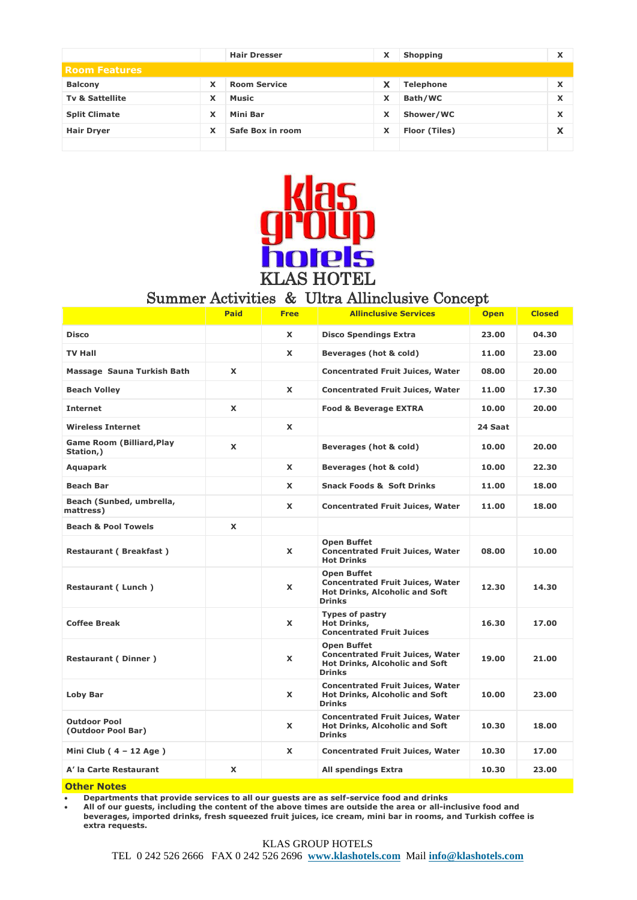|                            |   | <b>Hair Dresser</b> |   | <b>Shopping</b>  | x                 |
|----------------------------|---|---------------------|---|------------------|-------------------|
| <b>Room Features</b>       |   |                     |   |                  |                   |
| <b>Balcony</b>             | x | <b>Room Service</b> | X | <b>Telephone</b> | $\checkmark$<br>ᄉ |
| <b>Tv &amp; Sattellite</b> | x | <b>Music</b>        | x | Bath/WC          | $\checkmark$<br>ᄉ |
| <b>Split Climate</b>       | x | <b>Mini Bar</b>     | X | Shower/WC        | $\checkmark$<br>л |
| <b>Hair Dryer</b>          | x | Safe Box in room    | x | Floor (Tiles)    | x                 |
|                            |   |                     |   |                  |                   |



## Summer Activities & Ultra Allinclusive Concept

|                                               | <b>Paid</b>  | <b>Free</b>  | <b>Allinclusive Services</b>                                                                                            | <b>Open</b> | <b>Closed</b> |
|-----------------------------------------------|--------------|--------------|-------------------------------------------------------------------------------------------------------------------------|-------------|---------------|
| <b>Disco</b>                                  |              | X            | <b>Disco Spendings Extra</b>                                                                                            | 23.00       | 04.30         |
| <b>TV Hall</b>                                |              | X            | Beverages (hot & cold)                                                                                                  | 11.00       | 23.00         |
| Massage Sauna Turkish Bath                    | X            |              | <b>Concentrated Fruit Juices, Water</b>                                                                                 | 08.00       | 20.00         |
| Beach Volley                                  |              | <b>X</b>     | <b>Concentrated Fruit Juices, Water</b>                                                                                 | 11.00       | 17.30         |
| <b>Internet</b>                               | X            |              | <b>Food &amp; Beverage EXTRA</b>                                                                                        | 10.00       | 20.00         |
| <b>Wireless Internet</b>                      |              | X            |                                                                                                                         | 24 Saat     |               |
| <b>Game Room (Billiard, Play</b><br>Station,) | X            |              | Beverages (hot & cold)                                                                                                  | 10.00       | 20.00         |
| <b>Aquapark</b>                               |              | $\mathbf{x}$ | Beverages (hot & cold)                                                                                                  | 10.00       | 22.30         |
| <b>Beach Bar</b>                              |              | X            | <b>Snack Foods &amp; Soft Drinks</b>                                                                                    | 11.00       | 18.00         |
| Beach (Sunbed, umbrella,<br>mattress)         |              | <b>X</b>     | <b>Concentrated Fruit Juices, Water</b>                                                                                 | 11.00       | 18.00         |
| <b>Beach &amp; Pool Towels</b>                | $\mathbf{x}$ |              |                                                                                                                         |             |               |
| Restaurant ( Breakfast )                      |              | X            | <b>Open Buffet</b><br><b>Concentrated Fruit Juices, Water</b><br><b>Hot Drinks</b>                                      | 08.00       | 10.00         |
| Restaurant (Lunch)                            |              | X            | <b>Open Buffet</b><br><b>Concentrated Fruit Juices, Water</b><br><b>Hot Drinks, Alcoholic and Soft</b><br><b>Drinks</b> | 12.30       | 14.30         |
| <b>Coffee Break</b>                           |              | <b>X</b>     | <b>Types of pastry</b><br><b>Hot Drinks,</b><br><b>Concentrated Fruit Juices</b>                                        | 16.30       | 17.00         |
| <b>Restaurant (Dinner)</b>                    |              | X            | <b>Open Buffet</b><br><b>Concentrated Fruit Juices, Water</b><br><b>Hot Drinks, Alcoholic and Soft</b><br><b>Drinks</b> | 19.00       | 21.00         |
| Loby Bar                                      |              | X            | <b>Concentrated Fruit Juices, Water</b><br><b>Hot Drinks, Alcoholic and Soft</b><br><b>Drinks</b>                       | 10.00       | 23.00         |
| <b>Outdoor Pool</b><br>(Outdoor Pool Bar)     |              | <b>X</b>     | <b>Concentrated Fruit Juices, Water</b><br><b>Hot Drinks, Alcoholic and Soft</b><br><b>Drinks</b>                       | 10.30       | 18.00         |
| Mini Club $(4 - 12$ Age)                      |              | X            | <b>Concentrated Fruit Juices, Water</b>                                                                                 | 10.30       | 17.00         |
| A' la Carte Restaurant                        | X            |              | <b>All spendings Extra</b>                                                                                              | 10.30       | 23.00         |

**Other Notes**

**Departments that provide services to all our guests are as self-service food and drinks**

 **All of our guests, including the content of the above times are outside the area or all-inclusive food and beverages, imported drinks, fresh squeezed fruit juices, ice cream, mini bar in rooms, and Turkish coffee is extra requests.**